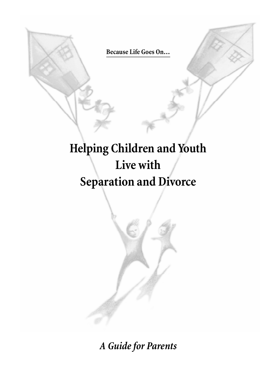**Because Life Goes On…**

# **Helping Children and Youth Live with Separation and Divorce**

*A Guide for Parents*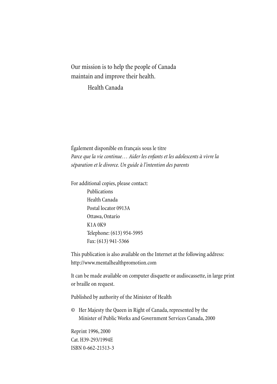Our mission is to help the people of Canada maintain and improve their health.

Health Canada

Également disponible en français sous le titre *Parce que la vie continue… Aider les enfants et les adolescents à vivre la séparation et le divorce. Un guide à l'intention des parents*

For additional copies, please contact:

Publications Health Canada Postal locator 0913A Ottawa, Ontario K1A 0K9 Telephone: (613) 954-5995 Fax: (613) 941-5366

This publication is also available on the Internet at the following address: http://www.mentalhealthpromotion.com

It can be made available on computer disquette or audiocassette, in large print or braille on request.

Published by authority of the Minister of Health

© Her Majesty the Queen in Right of Canada, represented by the Minister of Public Works and Government Services Canada, 2000

Reprint 1996, 2000 Cat. H39-293/1994E ISBN 0-662-21513-3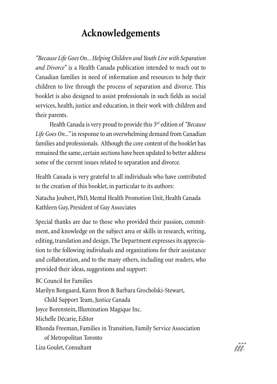# **Acknowledgements**

*"Because Life Goes On... Helping Children and Youth Live with Separation and Divorce"* is a Health Canada publication intended to reach out to Canadian families in need of information and resources to help their children to live through the process of separation and divorce. This booklet is also designed to assist professionals in such fields as social services, health, justice and education, in their work with children and their parents.

Health Canada is very proud to provide this 3rd edition of *"Because Life Goes On..."* in response to an overwhelming demand from Canadian families and professionals. Although the core content of the booklet has remained the same, certain sections have been updated to better address some of the current issues related to separation and divorce.

Health Canada is very grateful to all individuals who have contributed to the creation of this booklet, in particular to its authors:

Natacha Joubert, PhD, Mental Health Promotion Unit, Health Canada Kathleen Guy, President of Guy Associates

Special thanks are due to those who provided their passion, commitment, and knowledge on the subject area or skills in research, writing, editing, translation and design. The Department expresses its appreciation to the following individuals and organizations for their assistance and collaboration, and to the many others, including our readers, who provided their ideas, suggestions and support:

BC Council for Families

Marilyn Bongaard, Karen Bron & Barbara Grocholski-Stewart,

Child Support Team, Justice Canada Joyce Borenstein, Illumination Magique Inc. Michelle Décarie, Editor Rhonda Freeman, Families in Transition, Family Service Association of Metropolitan Toronto Liza Goulet, Consultant

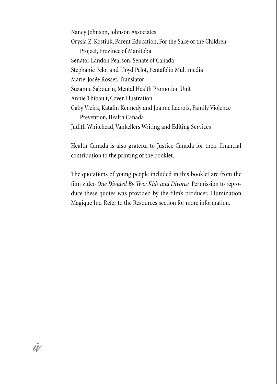Nancy Johnson, Johnson Associates Orysia Z. Kostiuk, Parent Education, For the Sake of the Children Project, Province of Manitoba Senator Landon Pearson, Senate of Canada Stephanie Pelot and Lloyd Pelot, Pentafolio Multimedia Marie-Josée Rosset, Translator Suzanne Sabourin, Mental Health Promotion Unit Annie Thibault, Cover Illustration Gaby Vieira, Katalin Kennedy and Joanne Lacroix, Family Violence Prevention, Health Canada Judith Whitehead, Vankellers Writing and Editing Services

Health Canada is also grateful to Justice Canada for their financial contribution to the printing of the booklet.

The quotations of young people included in this booklet are from the film video *One Divided By Two: Kids and Divorce.* Permission to reproduce these quotes was provided by the film's producer, Illumination Magique Inc. Refer to the Resources section for more information.

*iv*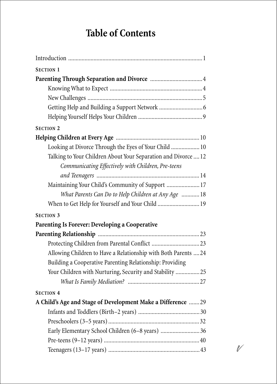# **Table of Contents**

| <b>SECTION 1</b>                                               |  |
|----------------------------------------------------------------|--|
|                                                                |  |
|                                                                |  |
|                                                                |  |
|                                                                |  |
|                                                                |  |
| <b>SECTION 2</b>                                               |  |
|                                                                |  |
| Looking at Divorce Through the Eyes of Your Child  10          |  |
| Talking to Your Children About Your Separation and Divorce  12 |  |
| Communicating Effectively with Children, Pre-teens             |  |
|                                                                |  |
| Maintaining Your Child's Community of Support  17              |  |
| What Parents Can Do to Help Children at Any Age  18            |  |
| When to Get Help for Yourself and Your Child  19               |  |
| <b>SECTION 3</b>                                               |  |
| Parenting Is Forever: Developing a Cooperative                 |  |
|                                                                |  |
|                                                                |  |
| Allowing Children to Have a Relationship with Both Parents  24 |  |
| Building a Cooperative Parenting Relationship: Providing       |  |
| Your Children with Nurturing, Security and Stability  25       |  |
|                                                                |  |
| <b>SECTION 4</b>                                               |  |
| A Child's Age and Stage of Development Make a Difference  29   |  |
|                                                                |  |
|                                                                |  |
| Early Elementary School Children (6-8 years)  36               |  |
|                                                                |  |
|                                                                |  |

*v*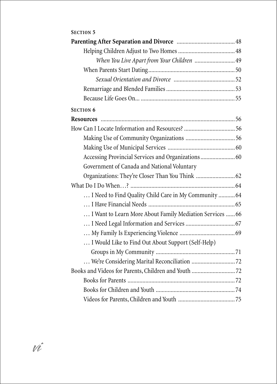| <b>SECTION 5</b>                                         |  |
|----------------------------------------------------------|--|
|                                                          |  |
|                                                          |  |
| When You Live Apart from Your Children  49               |  |
|                                                          |  |
|                                                          |  |
|                                                          |  |
|                                                          |  |
| <b>SECTION 6</b>                                         |  |
|                                                          |  |
| How Can I Locate Information and Resources? 56           |  |
|                                                          |  |
|                                                          |  |
|                                                          |  |
| Government of Canada and National Voluntary              |  |
|                                                          |  |
|                                                          |  |
| I Need to Find Quality Child Care in My Community  64    |  |
|                                                          |  |
| I Want to Learn More About Family Mediation Services  66 |  |
|                                                          |  |
|                                                          |  |
| I Would Like to Find Out About Support (Self-Help)       |  |
|                                                          |  |
|                                                          |  |
| Books and Videos for Parents, Children and Youth  72     |  |
|                                                          |  |
|                                                          |  |
|                                                          |  |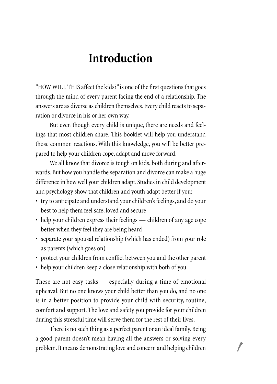# **Introduction**

"HOW WILL THIS affect the kids?" is one of the first questions that goes through the mind of every parent facing the end of a relationship. The answers are as diverse as children themselves. Every child reacts to separation or divorce in his or her own way.

But even though every child is unique, there are needs and feelings that most children share. This booklet will help you understand those common reactions. With this knowledge, you will be better prepared to help your children cope, adapt and move forward.

We all know that divorce is tough on kids, both during and afterwards. But how you handle the separation and divorce can make a huge difference in how well your children adapt. Studies in child development and psychology show that children and youth adapt better if you:

- try to anticipate and understand your children's feelings, and do your best to help them feel safe, loved and secure
- help your children express their feelings children of any age cope better when they feel they are being heard
- separate your spousal relationship (which has ended) from your role as parents (which goes on)
- protect your children from conflict between you and the other parent
- help your children keep a close relationship with both of you.

These are not easy tasks — especially during a time of emotional upheaval. But no one knows your child better than you do, and no one is in a better position to provide your child with security, routine, comfort and support. The love and safety you provide for your children during this stressful time will serve them for the rest of their lives.

There is no such thing as a perfect parent or an ideal family. Being a good parent doesn't mean having all the answers or solving every problem. It means demonstrating love and concern and helping children

*1*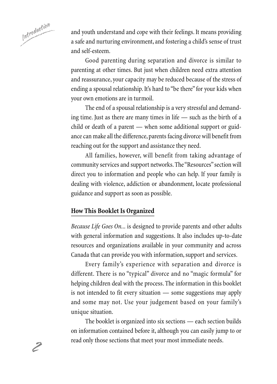Introduction

and youth understand and cope with their feelings. It means providing a safe and nurturing environment, and fostering a child's sense of trust and self-esteem.

Good parenting during separation and divorce is similar to parenting at other times. But just when children need extra attention and reassurance, your capacity may be reduced because of the stress of ending a spousal relationship. It's hard to "be there" for your kids when your own emotions are in turmoil.

The end of a spousal relationship is a very stressful and demanding time. Just as there are many times in life — such as the birth of a child or death of a parent — when some additional support or guidance can make all the difference, parents facing divorce will benefit from reaching out for the support and assistance they need.

All families, however, will benefit from taking advantage of community services and support networks. The "Resources" section will direct you to information and people who can help. If your family is dealing with violence, addiction or abandonment, locate professional guidance and support as soon as possible.

## **How This Booklet Is Organized**

*Because Life Goes On...* is designed to provide parents and other adults with general information and suggestions. It also includes up-to-date resources and organizations available in your community and across Canada that can provide you with information, support and services.

Every family's experience with separation and divorce is different. There is no "typical" divorce and no "magic formula" for helping children deal with the process. The information in this booklet is not intended to fit every situation — some suggestions may apply and some may not. Use your judgement based on your family's unique situation.

The booklet is organized into six sections — each section builds on information contained before it, although you can easily jump to or read only those sections that meet your most immediate needs.

*2*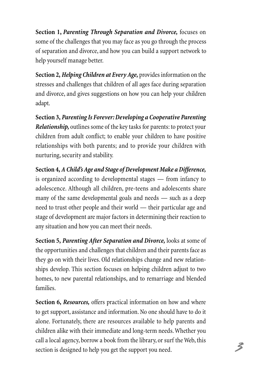**Section 1,** *Parenting Through Separation and Divorce,* focuses on some of the challenges that you may face as you go through the process of separation and divorce, and how you can build a support network to help yourself manage better.

**Section 2,** *Helping Children at Every Age,* provides information on the stresses and challenges that children of all ages face during separation and divorce, and gives suggestions on how you can help your children adapt.

**Section 3,** *Parenting Is Forever: Developing a Cooperative Parenting Relationship,* outlines some of the key tasks for parents: to protect your children from adult conflict; to enable your children to have positive relationships with both parents; and to provide your children with nurturing, security and stability.

**Section 4,** *A Child's Age and Stage of Development Make a Difference,* is organized according to developmental stages — from infancy to adolescence. Although all children, pre-teens and adolescents share many of the same developmental goals and needs — such as a deep need to trust other people and their world — their particular age and stage of development are major factors in determining their reaction to any situation and how you can meet their needs.

**Section 5,** *Parenting After Separation and Divorce,* looks at some of the opportunities and challenges that children and their parents face as they go on with their lives. Old relationships change and new relationships develop. This section focuses on helping children adjust to two homes, to new parental relationships, and to remarriage and blended families.

**Section 6,** *Resources,* offers practical information on how and where to get support, assistance and information. No one should have to do it alone. Fortunately, there are resources available to help parents and children alike with their immediate and long-term needs. Whether you call a local agency, borrow a book from the library, or surf the Web, this section is designed to help you get the support you need.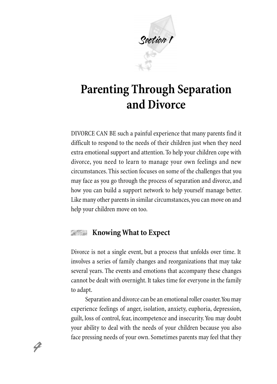*Section 1*

# **Parenting Through Separation and Divorce**

DIVORCE CAN BE such a painful experience that many parents find it difficult to respond to the needs of their children just when they need extra emotional support and attention. To help your children cope with divorce, you need to learn to manage your own feelings and new circumstances. This section focuses on some of the challenges that you may face as you go through the process of separation and divorce, and how you can build a support network to help yourself manage better. Like many other parents in similar circumstances, you can move on and help your children move on too.

# **Knowing What to Expect**

*4*

Divorce is not a single event, but a process that unfolds over time. It involves a series of family changes and reorganizations that may take several years. The events and emotions that accompany these changes cannot be dealt with overnight. It takes time for everyone in the family to adapt.

Separation and divorce can be an emotional roller coaster. You may experience feelings of anger, isolation, anxiety, euphoria, depression, guilt, loss of control, fear, incompetence and insecurity. You may doubt your ability to deal with the needs of your children because you also face pressing needs of your own. Sometimes parents may feel that they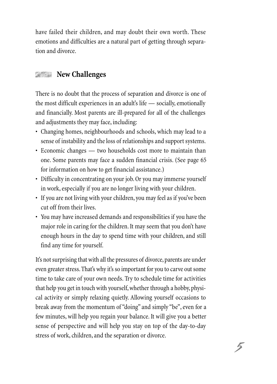have failed their children, and may doubt their own worth. These emotions and difficulties are a natural part of getting through separation and divorce.

# **New Challenges**

There is no doubt that the process of separation and divorce is one of the most difficult experiences in an adult's life — socially, emotionally and financially. Most parents are ill-prepared for all of the challenges and adjustments they may face, including:

- Changing homes, neighbourhoods and schools, which may lead to a sense of instability and the loss of relationships and support systems.
- Economic changes two households cost more to maintain than one. Some parents may face a sudden financial crisis. (See page 65 for information on how to get financial assistance.)
- Difficulty in concentrating on your job. Or you may immerse yourself in work, especially if you are no longer living with your children.
- If you are not living with your children, you may feel as if you've been cut off from their lives.
- You may have increased demands and responsibilities if you have the major role in caring for the children. It may seem that you don't have enough hours in the day to spend time with your children, and still find any time for yourself.

It's not surprising that with all the pressures of divorce, parents are under even greater stress. That's why it's so important for you to carve out some time to take care of your own needs. Try to schedule time for activities that help you get in touch with yourself, whether through a hobby, physical activity or simply relaxing quietly. Allowing yourself occasions to break away from the momentum of "doing" and simply "be", even for a few minutes, will help you regain your balance. It will give you a better sense of perspective and will help you stay on top of the day-to-day stress of work, children, and the separation or divorce.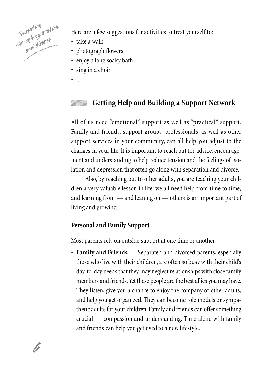Parenting<br>through separation<br>through diverse Parenting ough som

Here are a few suggestions for activities to treat yourself to:

- take a walk
- photograph flowers
- enjoy a long soaky bath
- sing in a choir
- ...

#### **Getting Help and Building a Support Network** H<sup>err</sup>an

All of us need "emotional" support as well as "practical" support. Family and friends, support groups, professionals, as well as other support services in your community, can all help you adjust to the changes in your life. It is important to reach out for advice, encouragement and understanding to help reduce tension and the feelings of isolation and depression that often go along with separation and divorce.

Also, by reaching out to other adults, you are teaching your children a very valuable lesson in life: we all need help from time to time, and learning from — and leaning on — others is an important part of living and growing.

## **Personal and Family Support**

Most parents rely on outside support at one time or another.

• **Family and Friends** — Separated and divorced parents, especially those who live with their children, are often so busy with their child's day-to-day needs that they may neglect relationships with close family members and friends. Yet these people are the best allies you may have. They listen, give you a chance to enjoy the company of other adults, and help you get organized. They can become role models or sympathetic adults for your children. Family and friends can offer something crucial — compassion and understanding. Time alone with family and friends can help you get used to a new lifestyle.

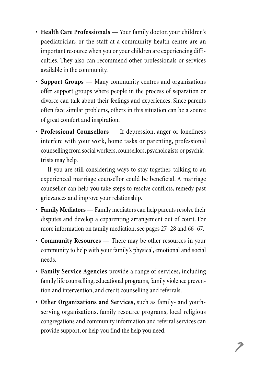- **Health Care Professionals** Your family doctor, your children's paediatrician, or the staff at a community health centre are an important resource when you or your children are experiencing difficulties. They also can recommend other professionals or services available in the community.
- **Support Groups** Many community centres and organizations offer support groups where people in the process of separation or divorce can talk about their feelings and experiences. Since parents often face similar problems, others in this situation can be a source of great comfort and inspiration.
- **Professional Counsellors** If depression, anger or loneliness interfere with your work, home tasks or parenting, professional counselling from social workers, counsellors, psychologists or psychiatrists may help.

If you are still considering ways to stay together, talking to an experienced marriage counsellor could be beneficial. A marriage counsellor can help you take steps to resolve conflicts, remedy past grievances and improve your relationship.

- **Family Mediators** Family mediators can help parents resolve their disputes and develop a coparenting arrangement out of court. For more information on family mediation, see pages 27–28 and 66–67.
- **Community Resources** There may be other resources in your community to help with your family's physical, emotional and social needs.
- **Family Service Agencies** provide a range of services, including family life counselling, educational programs, family violence prevention and intervention, and credit counselling and referrals.
- **Other Organizations and Services,** such as family- and youthserving organizations, family resource programs, local religious congregations and community information and referral services can provide support, or help you find the help you need.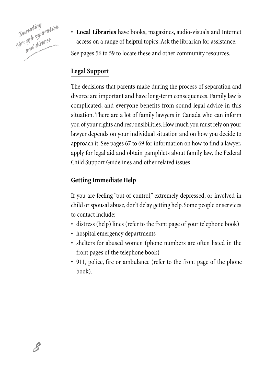Purenting Parenting<br>through separation<br>through diverse ough som

• **Local Libraries** have books, magazines, audio-visuals and Internet access on a range of helpful topics. Ask the librarian for assistance.

See pages 56 to 59 to locate these and other community resources.

# **Legal Support**

The decisions that parents make during the process of separation and divorce are important and have long-term consequences. Family law is complicated, and everyone benefits from sound legal advice in this situation. There are a lot of family lawyers in Canada who can inform you of your rights and responsibilities. How much you must rely on your lawyer depends on your individual situation and on how you decide to approach it. See pages 67 to 69 for information on how to find a lawyer, apply for legal aid and obtain pamphlets about family law, the Federal Child Support Guidelines and other related issues.

# **Getting Immediate Help**

If you are feeling "out of control," extremely depressed, or involved in child or spousal abuse, don't delay getting help. Some people or services to contact include:

- distress (help) lines (refer to the front page of your telephone book)
- hospital emergency departments
- shelters for abused women (phone numbers are often listed in the front pages of the telephone book)
- 911, police, fire or ambulance (refer to the front page of the phone book).

*8*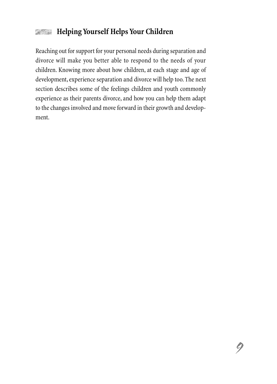#### **Helping Yourself Helps Your Children** <u>All Ca</u>rlos

Reaching out for support for your personal needs during separation and divorce will make you better able to respond to the needs of your children. Knowing more about how children, at each stage and age of development, experience separation and divorce will help too. The next section describes some of the feelings children and youth commonly experience as their parents divorce, and how you can help them adapt to the changes involved and move forward in their growth and development.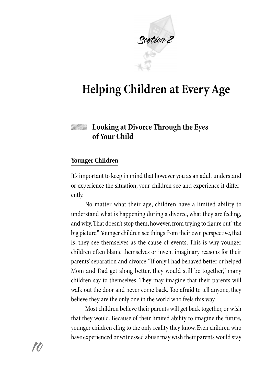*Section 2*

# **Helping Children at Every Age**

# **Looking at Divorce Through the Eyes of Your Child**

## **Younger Children**

It's important to keep in mind that however you as an adult understand or experience the situation, your children see and experience it differently.

No matter what their age, children have a limited ability to understand what is happening during a divorce, what they are feeling, and why. That doesn't stop them, however, from trying to figure out "the big picture." Younger children see things from their own perspective, that is, they see themselves as the cause of events. This is why younger children often blame themselves or invent imaginary reasons for their parents' separation and divorce. "If only I had behaved better or helped Mom and Dad get along better, they would still be together," many children say to themselves. They may imagine that their parents will walk out the door and never come back. Too afraid to tell anyone, they believe they are the only one in the world who feels this way.

Most children believe their parents will get back together, or wish that they would. Because of their limited ability to imagine the future, younger children cling to the only reality they know. Even children who have experienced or witnessed abuse may wish their parents would stay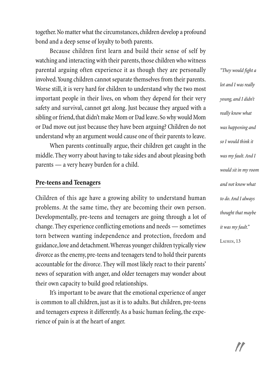together. No matter what the circumstances, children develop a profound bond and a deep sense of loyalty to both parents.

Because children first learn and build their sense of self by watching and interacting with their parents, those children who witness parental arguing often experience it as though they are personally involved. Young children cannot separate themselves from their parents. Worse still, it is very hard for children to understand why the two most important people in their lives, on whom they depend for their very safety and survival, cannot get along. Just because they argued with a sibling or friend, that didn't make Mom or Dad leave. So why would Mom or Dad move out just because they have been arguing? Children do not understand why an argument would cause one of their parents to leave.

When parents continually argue, their children get caught in the middle. They worry about having to take sides and about pleasing both parents — a very heavy burden for a child.

### **Pre-teens and Teenagers**

Children of this age have a growing ability to understand human problems. At the same time, they are becoming their own person. Developmentally, pre-teens and teenagers are going through a lot of change. They experience conflicting emotions and needs — sometimes torn between wanting independence and protection, freedom and guidance, love and detachment. Whereas younger children typically view divorce as the enemy, pre-teens and teenagers tend to hold their parents accountable for the divorce. They will most likely react to their parents' news of separation with anger, and older teenagers may wonder about their own capacity to build good relationships.

It's important to be aware that the emotional experience of anger is common to all children, just as it is to adults. But children, pre-teens and teenagers express it differently. As a basic human feeling, the experience of pain is at the heart of anger.

*"They would fight a lot and I was really young, and I didn't really know what was happening and so I would think it was my fault. And I would sit in my room and not know what to do. And I always thought that maybe it was my fault."* LAUREN, 13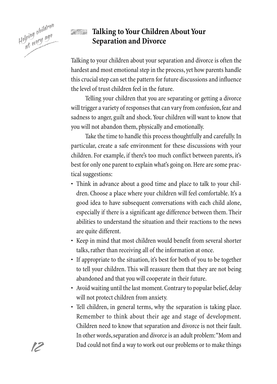Helping children

#### **Talking to Your Children About Your** <u>Marina de </u> **Separation and Divorce**

Talking to your children about your separation and divorce is often the hardest and most emotional step in the process, yet how parents handle this crucial step can set the pattern for future discussions and influence the level of trust children feel in the future.

Telling your children that you are separating or getting a divorce will trigger a variety of responses that can vary from confusion, fear and sadness to anger, guilt and shock. Your children will want to know that you will not abandon them, physically and emotionally.

Take the time to handle this process thoughtfully and carefully. In particular, create a safe environment for these discussions with your children. For example, if there's too much conflict between parents, it's best for only one parent to explain what's going on. Here are some practical suggestions:

- Think in advance about a good time and place to talk to your children. Choose a place where your children will feel comfortable. It's a good idea to have subsequent conversations with each child alone, especially if there is a significant age difference between them. Their abilities to understand the situation and their reactions to the news are quite different.
- Keep in mind that most children would benefit from several shorter talks, rather than receiving all of the information at once.
- If appropriate to the situation, it's best for both of you to be together to tell your children. This will reassure them that they are not being abandoned and that you will cooperate in their future.
- Avoid waiting until the last moment. Contrary to popular belief, delay will not protect children from anxiety.
- Tell children, in general terms, why the separation is taking place. Remember to think about their age and stage of development. Children need to know that separation and divorce is not their fault. In other words, separation and divorce is an adult problem: "Mom and Dad could not find a way to work out our problems or to make things

*12*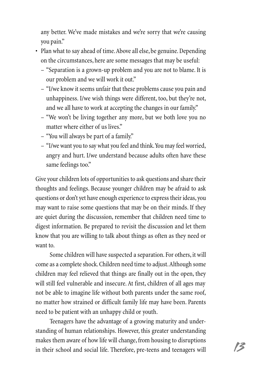any better. We've made mistakes and we're sorry that we're causing you pain."

- Plan what to say ahead of time. Above all else, be genuine. Depending on the circumstances, here are some messages that may be useful:
	- "Separation is a grown-up problem and you are not to blame. It is our problem and we will work it out."
	- "I/we know it seems unfair that these problems cause you pain and unhappiness. I/we wish things were different, too, but they're not, and we all have to work at accepting the changes in our family."
	- "We won't be living together any more, but we both love you no matter where either of us lives."
	- "You will always be part of a family."
	- "I/we want you to say what you feel and think. You may feel worried, angry and hurt. I/we understand because adults often have these same feelings too."

Give your children lots of opportunities to ask questions and share their thoughts and feelings. Because younger children may be afraid to ask questions or don't yet have enough experience to express their ideas, you may want to raise some questions that may be on their minds. If they are quiet during the discussion, remember that children need time to digest information. Be prepared to revisit the discussion and let them know that you are willing to talk about things as often as they need or want to.

Some children will have suspected a separation. For others, it will come as a complete shock. Children need time to adjust. Although some children may feel relieved that things are finally out in the open, they will still feel vulnerable and insecure. At first, children of all ages may not be able to imagine life without both parents under the same roof, no matter how strained or difficult family life may have been. Parents need to be patient with an unhappy child or youth.

Teenagers have the advantage of a growing maturity and understanding of human relationships. However, this greater understanding makes them aware of how life will change, from housing to disruptions in their school and social life. Therefore, pre-teens and teenagers will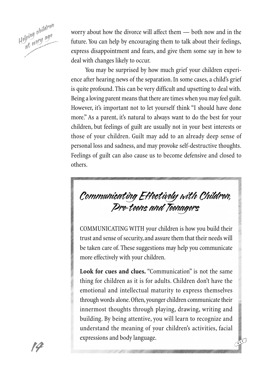Helping children a wery age

worry about how the divorce will affect them — both now and in the future. You can help by encouraging them to talk about their feelings, express disappointment and fears, and give them some say in how to deal with changes likely to occur.

You may be surprised by how much grief your children experience after hearing news of the separation. In some cases, a child's grief is quite profound. This can be very difficult and upsetting to deal with. Being a loving parent means that there are times when you may feel guilt. However, it's important not to let yourself think "I should have done more." As a parent, it's natural to always want to do the best for your children, but feelings of guilt are usually not in your best interests or those of your children. Guilt may add to an already deep sense of personal loss and sadness, and may provoke self-destructive thoughts. Feelings of guilt can also cause us to become defensive and closed to others.

*Communicating Effectively with Children, Pre-teens and Teenagers*

COMMUNICATING WITH your children is how you build their trust and sense of security, and assure them that their needs will be taken care of. These suggestions may help you communicate more effectively with your children.

**Look for cues and clues.** "Communication" is not the same thing for children as it is for adults. Children don't have the emotional and intellectual maturity to express themselves through words alone. Often, younger children communicate their innermost thoughts through playing, drawing, writing and building. By being attentive, you will learn to recognize and understand the meaning of your children's activities, facial expressions and body language.

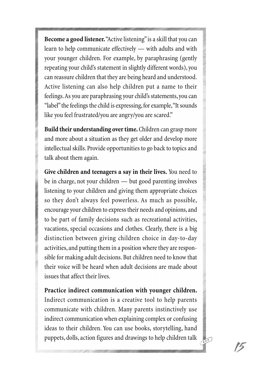**Become a good listener.** "Active listening" is a skill that you can learn to help communicate effectively — with adults and with your younger children. For example, by paraphrasing (gently repeating your child's statement in slightly different words), you can reassure children that they are being heard and understood. Active listening can also help children put a name to their feelings. As you are paraphrasing your child's statements, you can "label" the feelings the child is expressing, for example, "It sounds like you feel frustrated/you are angry/you are scared."

**Build their understanding over time.** Children can grasp more and more about a situation as they get older and develop more intellectual skills. Provide opportunities to go back to topics and talk about them again.

**Give children and teenagers a say in their lives.** You need to be in charge, not your children — but good parenting involves listening to your children and giving them appropriate choices so they don't always feel powerless. As much as possible, encourage your children to express their needs and opinions, and to be part of family decisions such as recreational activities, vacations, special occasions and clothes. Clearly, there is a big distinction between giving children choice in day-to-day activities, and putting them in a position where they are responsible for making adult decisions. But children need to know that their voice will be heard when adult decisions are made about issues that affect their lives.

**Practice indirect communication with younger children.** Indirect communication is a creative tool to help parents communicate with children. Many parents instinctively use indirect communication when explaining complex or confusing ideas to their children. You can use books, storytelling, hand puppets, dolls, action figures and drawings to help children talk

*15*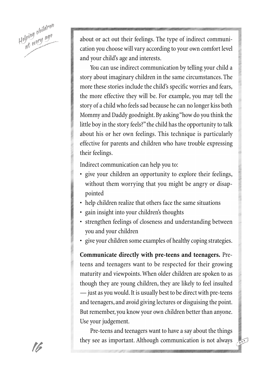Helping children

about or act out their feelings. The type of indirect communication you choose will vary according to your own comfort level and your child's age and interests.

You can use indirect communication by telling your child a story about imaginary children in the same circumstances. The more these stories include the child's specific worries and fears, the more effective they will be. For example, you may tell the story of a child who feels sad because he can no longer kiss both Mommy and Daddy goodnight. By asking "how do you think the little boy in the story feels?" the child has the opportunity to talk about his or her own feelings. This technique is particularly effective for parents and children who have trouble expressing their feelings.

Indirect communication can help you to:

- give your children an opportunity to explore their feelings, without them worrying that you might be angry or disappointed
- help children realize that others face the same situations
- gain insight into your children's thoughts
- strengthen feelings of closeness and understanding between you and your children
- give your children some examples of healthy coping strategies.

**Communicate directly with pre-teens and teenagers.** Preteens and teenagers want to be respected for their growing maturity and viewpoints. When older children are spoken to as though they are young children, they are likely to feel insulted — just as you would. It is usually best to be direct with pre-teens and teenagers, and avoid giving lectures or disguising the point. But remember, you know your own children better than anyone. Use your judgement.

Pre-teens and teenagers want to have a say about the things they see as important. Although communication is not always

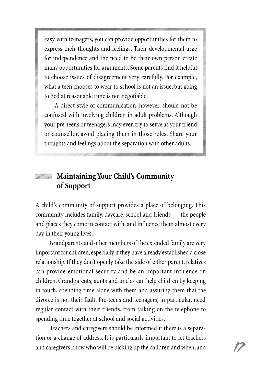easy with teenagers, you can provide opportunities for them to express their thoughts and feelings. Their developmental urge for independence and the need to be their own person create many opportunities for arguments. Some parents find it helpful to choose issues of disagreement very carefully. For example, what a teen chooses to wear to school is not an issue, but going to bed at reasonable time is not negotiable.

A direct style of communication, however, should not be confused with involving children in adult problems. Although your pre-teens or teenagers may even try to serve as your friend or counsellor, avoid placing them in those roles. Share your thoughts and feelings about the separation with other adults.

# **Maintaining Your Child's Community of Support**

A child's community of support provides a place of belonging. This community includes family, daycare, school and friends — the people and places they come in contact with, and influence them almost every day in their young lives.

Grandparents and other members of the extended family are very important for children, especially if they have already established a close relationship. If they don't openly take the side of either parent, relatives can provide emotional security and be an important influence on children. Grandparents, aunts and uncles can help children by keeping in touch, spending time alone with them and assuring them that the divorce is not their fault. Pre-teens and teenagers, in particular, need regular contact with their friends, from talking on the telephone to spending time together at school and social activities.

Teachers and caregivers should be informed if there is a separation or a change of address. It is particularly important to let teachers and caregivers know who will be picking up the children and when, and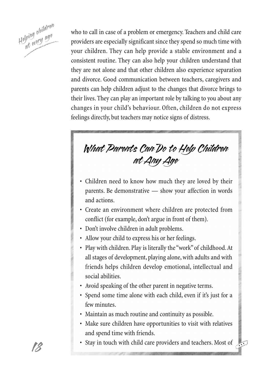Helping children aping chair.

who to call in case of a problem or emergency. Teachers and child care providers are especially significant since they spend so much time with your children. They can help provide a stable environment and a consistent routine. They can also help your children understand that they are not alone and that other children also experience separation and divorce. Good communication between teachers, caregivers and parents can help children adjust to the changes that divorce brings to their lives. They can play an important role by talking to you about any changes in your child's behaviour. Often, children do not express feelings directly, but teachers may notice signs of distress.

*What Parents Can Do to Help Children at Any Age*

- Children need to know how much they are loved by their parents. Be demonstrative — show your affection in words and actions.
- Create an environment where children are protected from conflict (for example, don't argue in front of them).
- Don't involve children in adult problems.
- Allow your child to express his or her feelings.
- Play with children. Play is literally the "work" of childhood. At all stages of development, playing alone, with adults and with friends helps children develop emotional, intellectual and social abilities.
- Avoid speaking of the other parent in negative terms.
- Spend some time alone with each child, even if it's just for a few minutes.
- Maintain as much routine and continuity as possible.
- Make sure children have opportunities to visit with relatives and spend time with friends.
- Stay in touch with child care providers and teachers. Most of

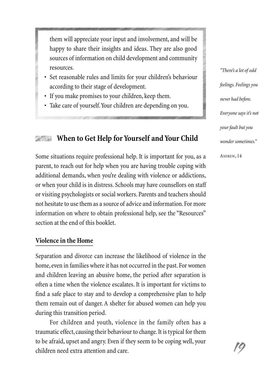them will appreciate your input and involvement, and will be happy to share their insights and ideas. They are also good sources of information on child development and community resources.

- Set reasonable rules and limits for your children's behaviour according to their stage of development.
- If you make promises to your children, keep them.
- Take care of yourself. Your children are depending on you.

# **When to Get Help for Yourself and Your Child**

Some situations require professional help. It is important for you, as a parent, to reach out for help when you are having trouble coping with additional demands, when you're dealing with violence or addictions, or when your child is in distress. Schools may have counsellors on staff or visiting psychologists or social workers. Parents and teachers should not hesitate to use them as a source of advice and information. For more information on where to obtain professional help, see the "Resources" section at the end of this booklet.

## **Violence in the Home**

Separation and divorce can increase the likelihood of violence in the home, even in families where it has not occurred in the past. For women and children leaving an abusive home, the period after separation is often a time when the violence escalates. It is important for victims to find a safe place to stay and to develop a comprehensive plan to help them remain out of danger. A shelter for abused women can help you during this transition period.

For children and youth, violence in the family often has a traumatic effect, causing their behaviour to change. It is typical for them to be afraid, upset and angry. Even if they seem to be coping well, your children need extra attention and care.

*"There's a lot of odd feelings. Feelings you never had before. Everyone says it's not your fault but you wonder sometimes."* ANDREW, 14

*19*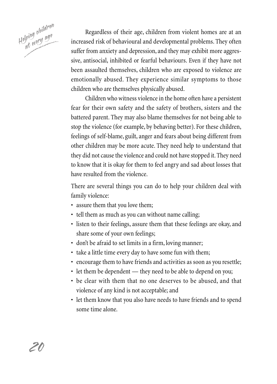Helping children

*20*

Regardless of their age, children from violent homes are at an increased risk of behavioural and developmental problems. They often suffer from anxiety and depression, and they may exhibit more aggressive, antisocial, inhibited or fearful behaviours. Even if they have not been assaulted themselves, children who are exposed to violence are emotionally abused. They experience similar symptoms to those children who are themselves physically abused.

Children who witness violence in the home often have a persistent fear for their own safety and the safety of brothers, sisters and the battered parent. They may also blame themselves for not being able to stop the violence (for example, by behaving better). For these children, feelings of self-blame, guilt, anger and fears about being different from other children may be more acute. They need help to understand that they did not cause the violence and could not have stopped it. They need to know that it is okay for them to feel angry and sad about losses that have resulted from the violence.

There are several things you can do to help your children deal with family violence:

- assure them that you love them;
- tell them as much as you can without name calling;
- listen to their feelings, assure them that these feelings are okay, and share some of your own feelings;
- don't be afraid to set limits in a firm, loving manner;
- take a little time every day to have some fun with them;
- encourage them to have friends and activities as soon as you resettle;
- let them be dependent they need to be able to depend on you;
- be clear with them that no one deserves to be abused, and that violence of any kind is not acceptable; and
- let them know that you also have needs to have friends and to spend some time alone.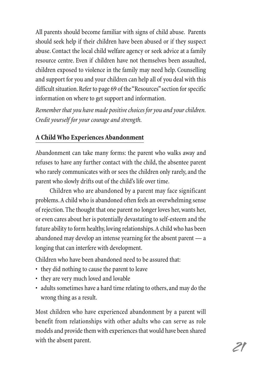All parents should become familiar with signs of child abuse. Parents should seek help if their children have been abused or if they suspect abuse. Contact the local child welfare agency or seek advice at a family resource centre. Even if children have not themselves been assaulted, children exposed to violence in the family may need help. Counselling and support for you and your children can help all of you deal with this difficult situation. Refer to page 69 of the "Resources" section for specific information on where to get support and information.

*Remember that you have made positive choices for you and your children. Credit yourself for your courage and strength.*

## **A Child Who Experiences Abandonment**

Abandonment can take many forms: the parent who walks away and refuses to have any further contact with the child, the absentee parent who rarely communicates with or sees the children only rarely, and the parent who slowly drifts out of the child's life over time.

Children who are abandoned by a parent may face significant problems. A child who is abandoned often feels an overwhelming sense of rejection. The thought that one parent no longer loves her, wants her, or even cares about her is potentially devastating to self-esteem and the future ability to form healthy, loving relationships. A child who has been abandoned may develop an intense yearning for the absent parent — a longing that can interfere with development.

Children who have been abandoned need to be assured that:

- they did nothing to cause the parent to leave
- they are very much loved and lovable
- adults sometimes have a hard time relating to others, and may do the wrong thing as a result.

Most children who have experienced abandonment by a parent will benefit from relationships with other adults who can serve as role models and provide them with experiences that would have been shared with the absent parent.